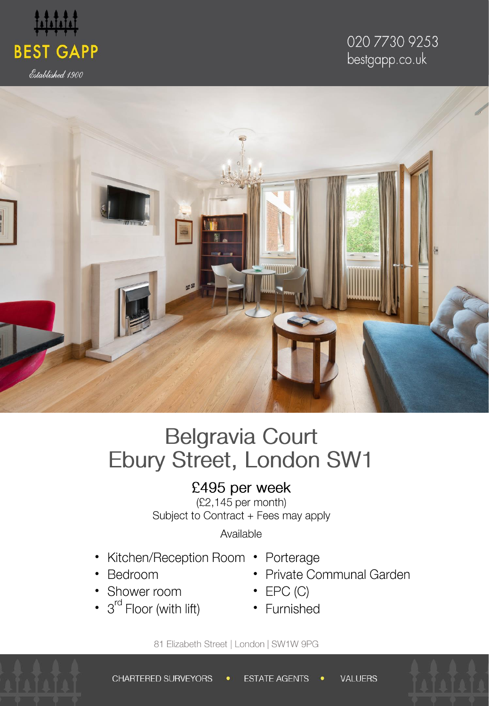

Established 1900

# 020 7730 9253 bestgapp.co.uk



# **Belgravia Court** Ebury Street, London SW1

# £495 per week

 $(E2, 145$  per month) Subject to Contract + Fees may apply

Available

- Kitchen/Reception Room • Porterage
- Bedroom
- Shower room •
- 3<sup>rd</sup> Floor (with lift) •
- 
- Private Communal Garden
- $\cdot$  EPC (C)
- Furnished

81 Elizabeth Street | London | SW1W 9PG

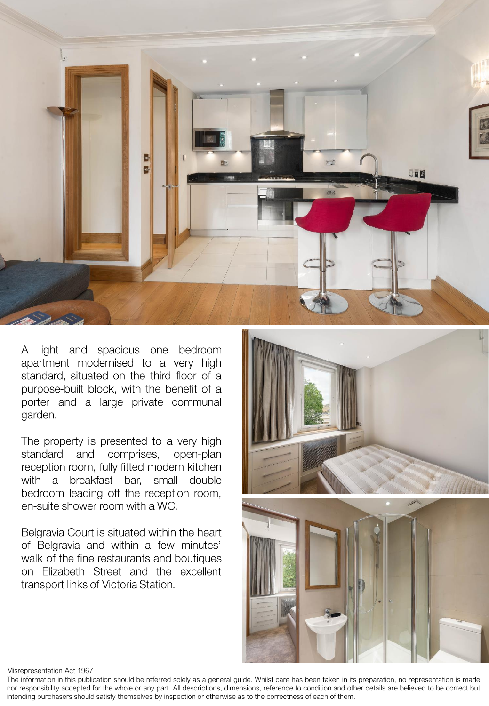

A light and spacious one bedroom apartment modernised to a very high standard, situated on the third floor of a purpose-built block, with the benefit of a porter and a large private communal garden.

The property is presented to a very high standard and comprises, open-plan reception room, fully fitted modern kitchen with a breakfast bar, small double bedroom leading off the reception room, en-suite shower room with a WC.

Belgravia Court is situated within the heart of Belgravia and within a few minutes' walk of the fine restaurants and boutiques on Elizabeth Street and the excellent transport links of Victoria Station.



Misrepresentation Act 1967

The information in this publication should be referred solely as a general guide. Whilst care has been taken in its preparation, no representation is made nor responsibility accepted for the whole or any part. All descriptions, dimensions, reference to condition and other details are believed to be correct but intending purchasers should satisfy themselves by inspection or otherwise as to the correctness of each of them.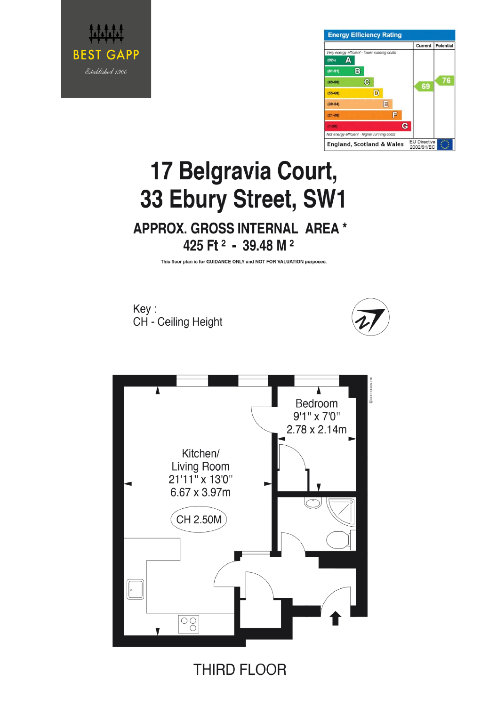



# 17 Belgravia Court, 33 Ebury Street, SW1

**APPROX. GROSS INTERNAL AREA\*** 425 Ft <sup>2</sup> - 39.48 M<sup>2</sup>

This floor plan is for GUIDANCE ONLY and NOT FOR VALUATION purposes

Kev: CH - Ceiling Height





**THIRD FLOOR**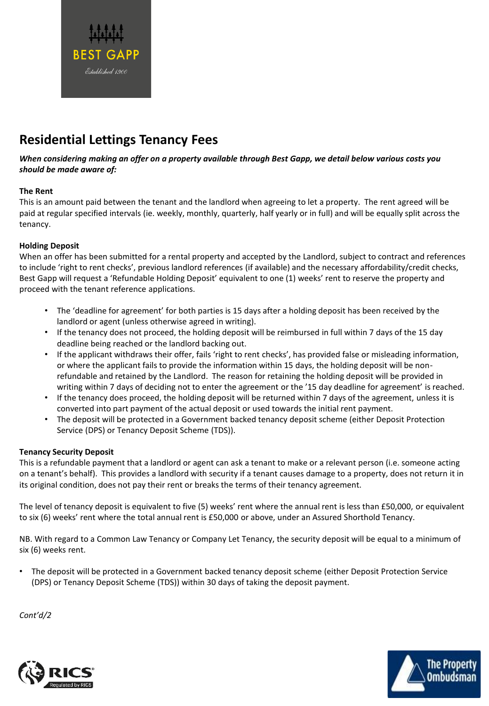

# **Residential Lettings Tenancy Fees**

*When considering making an offer on a property available through Best Gapp, we detail below various costs you should be made aware of:*

#### **The Rent**

This is an amount paid between the tenant and the landlord when agreeing to let a property. The rent agreed will be paid at regular specified intervals (ie. weekly, monthly, quarterly, half yearly or in full) and will be equally split across the tenancy.

#### **Holding Deposit**

When an offer has been submitted for a rental property and accepted by the Landlord, subject to contract and references to include 'right to rent checks', previous landlord references (if available) and the necessary affordability/credit checks, Best Gapp will request a 'Refundable Holding Deposit' equivalent to one (1) weeks' rent to reserve the property and proceed with the tenant reference applications.

- The 'deadline for agreement' for both parties is 15 days after a holding deposit has been received by the landlord or agent (unless otherwise agreed in writing).
- If the tenancy does not proceed, the holding deposit will be reimbursed in full within 7 days of the 15 day deadline being reached or the landlord backing out.
- If the applicant withdraws their offer, fails 'right to rent checks', has provided false or misleading information, or where the applicant fails to provide the information within 15 days, the holding deposit will be nonrefundable and retained by the Landlord. The reason for retaining the holding deposit will be provided in writing within 7 days of deciding not to enter the agreement or the '15 day deadline for agreement' is reached.
- If the tenancy does proceed, the holding deposit will be returned within 7 days of the agreement, unless it is converted into part payment of the actual deposit or used towards the initial rent payment.
- The deposit will be protected in a Government backed tenancy deposit scheme (either Deposit Protection Service (DPS) or Tenancy Deposit Scheme (TDS)).

#### **Tenancy Security Deposit**

This is a refundable payment that a landlord or agent can ask a tenant to make or a relevant person (i.e. someone acting on a tenant's behalf). This provides a landlord with security if a tenant causes damage to a property, does not return it in its original condition, does not pay their rent or breaks the terms of their tenancy agreement.

The level of tenancy deposit is equivalent to five (5) weeks' rent where the annual rent is less than £50,000, or equivalent to six (6) weeks' rent where the total annual rent is £50,000 or above, under an Assured Shorthold Tenancy.

NB. With regard to a Common Law Tenancy or Company Let Tenancy, the security deposit will be equal to a minimum of six (6) weeks rent.

• The deposit will be protected in a Government backed tenancy deposit scheme (either Deposit Protection Service (DPS) or Tenancy Deposit Scheme (TDS)) within 30 days of taking the deposit payment.

*Cont'd/2*